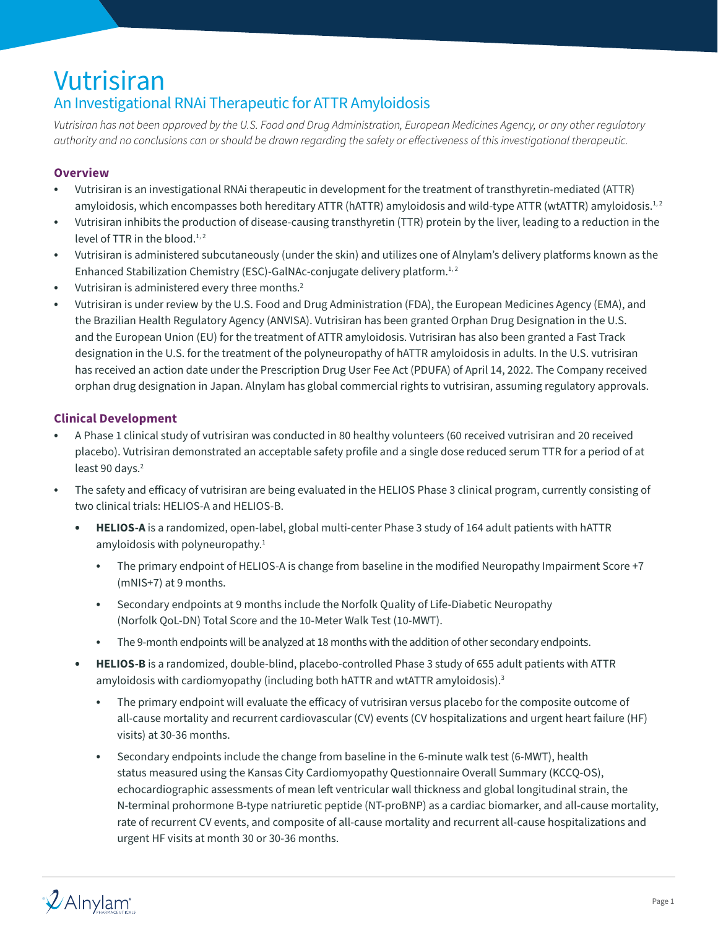## Vutrisiran An Investigational RNAi Therapeutic for ATTR Amyloidosis

*Vutrisiran has not been approved by the U.S. Food and Drug Administration, European Medicines Agency, or any other regulatory authority and no conclusions can or should be drawn regarding the safety or effectiveness of this investigational therapeutic.*

## **Overview**

- Vutrisiran is an investigational RNAi therapeutic in development for the treatment of transthyretin-mediated (ATTR) amyloidosis, which encompasses both hereditary ATTR (hATTR) amyloidosis and wild-type ATTR (wtATTR) amyloidosis.<sup>1,2</sup>
- Vutrisiran inhibits the production of disease-causing transthyretin (TTR) protein by the liver, leading to a reduction in the level of TTR in the blood. $1, 2$
- Vutrisiran is administered subcutaneously (under the skin) and utilizes one of Alnylam's delivery platforms known as the Enhanced Stabilization Chemistry (ESC)-GalNAc-conjugate delivery platform.<sup>1,2</sup>
- Vutrisiran is administered every three months.<sup>2</sup>
- Vutrisiran is under review by the U.S. Food and Drug Administration (FDA), the European Medicines Agency (EMA), and the Brazilian Health Regulatory Agency (ANVISA). Vutrisiran has been granted Orphan Drug Designation in the U.S. and the European Union (EU) for the treatment of ATTR amyloidosis. Vutrisiran has also been granted a Fast Track designation in the U.S. for the treatment of the polyneuropathy of hATTR amyloidosis in adults. In the U.S. vutrisiran has received an action date under the Prescription Drug User Fee Act (PDUFA) of April 14, 2022. The Company received orphan drug designation in Japan. Alnylam has global commercial rights to vutrisiran, assuming regulatory approvals.

## Clinical Development

- A Phase 1 clinical study of vutrisiran was conducted in 80 healthy volunteers (60 received vutrisiran and 20 received placebo). Vutrisiran demonstrated an acceptable safety profile and a single dose reduced serum TTR for a period of at least 90 days.<sup>2</sup>
- The safety and efficacy of vutrisiran are being evaluated in the HELIOS Phase 3 clinical program, currently consisting of two clinical trials: HELIOS-A and HELIOS-B.
	- HELIOS-A is a randomized, open-label, global multi-center Phase 3 study of 164 adult patients with hATTR amyloidosis with polyneuropathy.<sup>1</sup>
		- The primary endpoint of HELIOS-A is change from baseline in the modified Neuropathy Impairment Score +7 (mNIS+7) at 9 months.
		- Secondary endpoints at 9 months include the Norfolk Quality of Life-Diabetic Neuropathy (Norfolk QoL-DN) Total Score and the 10-Meter Walk Test (10-MWT).
		- The 9-month endpoints will be analyzed at 18 months with the addition of other secondary endpoints.
	- HELIOS-B is a randomized, double-blind, placebo-controlled Phase 3 study of 655 adult patients with ATTR amyloidosis with cardiomyopathy (including both hATTR and wtATTR amyloidosis).<sup>3</sup>
		- The primary endpoint will evaluate the efficacy of vutrisiran versus placebo for the composite outcome of all-cause mortality and recurrent cardiovascular (CV) events (CV hospitalizations and urgent heart failure (HF) visits) at 30-36 months.
		- Secondary endpoints include the change from baseline in the 6-minute walk test (6-MWT), health status measured using the Kansas City Cardiomyopathy Questionnaire Overall Summary (KCCQ-OS), echocardiographic assessments of mean left ventricular wall thickness and global longitudinal strain, the N-terminal prohormone B-type natriuretic peptide (NT-proBNP) as a cardiac biomarker, and all-cause mortality, rate of recurrent CV events, and composite of all-cause mortality and recurrent all-cause hospitalizations and urgent HF visits at month 30 or 30-36 months.